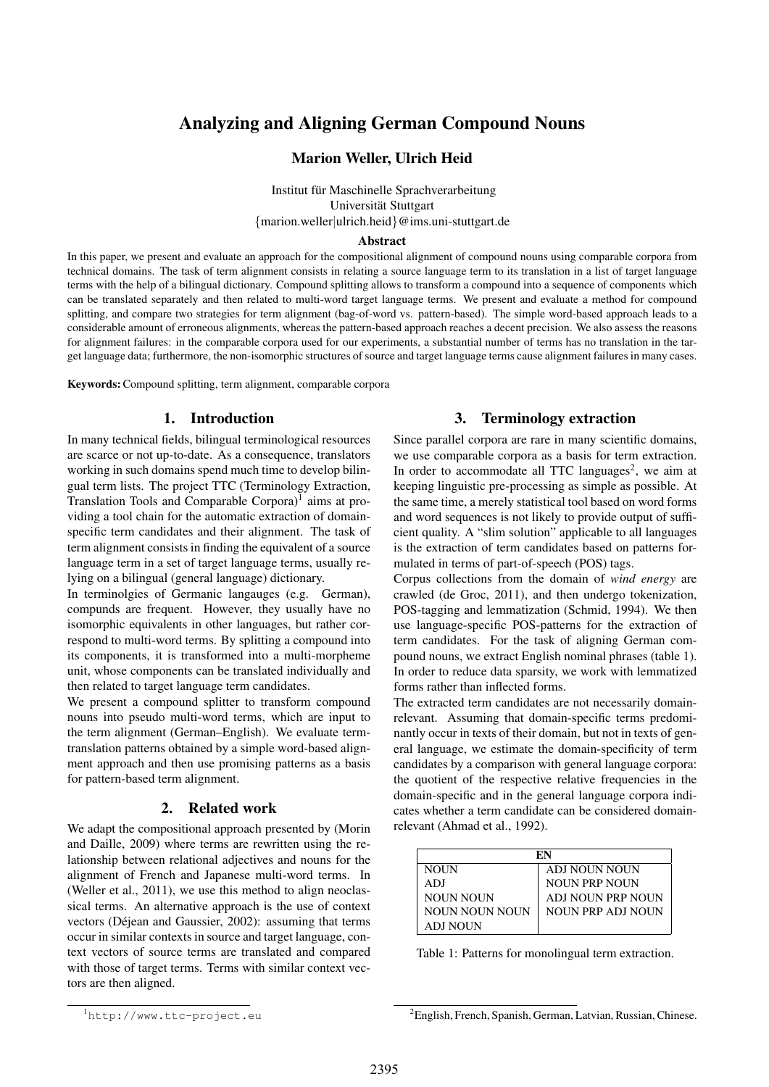# Analyzing and Aligning German Compound Nouns

### Marion Weller, Ulrich Heid

Institut für Maschinelle Sprachverarbeitung Universität Stuttgart {marion.weller|ulrich.heid}@ims.uni-stuttgart.de

#### Abstract

In this paper, we present and evaluate an approach for the compositional alignment of compound nouns using comparable corpora from technical domains. The task of term alignment consists in relating a source language term to its translation in a list of target language terms with the help of a bilingual dictionary. Compound splitting allows to transform a compound into a sequence of components which can be translated separately and then related to multi-word target language terms. We present and evaluate a method for compound splitting, and compare two strategies for term alignment (bag-of-word vs. pattern-based). The simple word-based approach leads to a considerable amount of erroneous alignments, whereas the pattern-based approach reaches a decent precision. We also assess the reasons for alignment failures: in the comparable corpora used for our experiments, a substantial number of terms has no translation in the target language data; furthermore, the non-isomorphic structures of source and target language terms cause alignment failures in many cases.

Keywords:Compound splitting, term alignment, comparable corpora

### 1. Introduction

In many technical fields, bilingual terminological resources are scarce or not up-to-date. As a consequence, translators working in such domains spend much time to develop bilingual term lists. The project TTC (Terminology Extraction, Translation Tools and Comparable Corpora)<sup>1</sup> aims at providing a tool chain for the automatic extraction of domainspecific term candidates and their alignment. The task of term alignment consists in finding the equivalent of a source language term in a set of target language terms, usually relying on a bilingual (general language) dictionary.

In terminolgies of Germanic langauges (e.g. German), compunds are frequent. However, they usually have no isomorphic equivalents in other languages, but rather correspond to multi-word terms. By splitting a compound into its components, it is transformed into a multi-morpheme unit, whose components can be translated individually and then related to target language term candidates.

We present a compound splitter to transform compound nouns into pseudo multi-word terms, which are input to the term alignment (German–English). We evaluate termtranslation patterns obtained by a simple word-based alignment approach and then use promising patterns as a basis for pattern-based term alignment.

#### 2. Related work

We adapt the compositional approach presented by (Morin and Daille, 2009) where terms are rewritten using the relationship between relational adjectives and nouns for the alignment of French and Japanese multi-word terms. In (Weller et al., 2011), we use this method to align neoclassical terms. An alternative approach is the use of context vectors (Déjean and Gaussier, 2002): assuming that terms occur in similar contexts in source and target language, context vectors of source terms are translated and compared with those of target terms. Terms with similar context vectors are then aligned.

### 3. Terminology extraction

Since parallel corpora are rare in many scientific domains, we use comparable corpora as a basis for term extraction. In order to accommodate all TTC languages<sup>2</sup>, we aim at keeping linguistic pre-processing as simple as possible. At the same time, a merely statistical tool based on word forms and word sequences is not likely to provide output of sufficient quality. A "slim solution" applicable to all languages is the extraction of term candidates based on patterns formulated in terms of part-of-speech (POS) tags.

Corpus collections from the domain of *wind energy* are crawled (de Groc, 2011), and then undergo tokenization, POS-tagging and lemmatization (Schmid, 1994). We then use language-specific POS-patterns for the extraction of term candidates. For the task of aligning German compound nouns, we extract English nominal phrases (table 1). In order to reduce data sparsity, we work with lemmatized forms rather than inflected forms.

The extracted term candidates are not necessarily domainrelevant. Assuming that domain-specific terms predominantly occur in texts of their domain, but not in texts of general language, we estimate the domain-specificity of term candidates by a comparison with general language corpora: the quotient of the respective relative frequencies in the domain-specific and in the general language corpora indicates whether a term candidate can be considered domainrelevant (Ahmad et al., 1992).

| EN             |                          |  |  |
|----------------|--------------------------|--|--|
| <b>NOUN</b>    | ADJ NOUN NOUN            |  |  |
| ADJ            | <b>NOUN PRP NOUN</b>     |  |  |
| NOUN NOUN      | ADJ NOUN PRP NOUN        |  |  |
| NOUN NOUN NOUN | <b>NOUN PRP ADJ NOUN</b> |  |  |
| ADJ NOUN       |                          |  |  |

Table 1: Patterns for monolingual term extraction.

<sup>1</sup>http://www.ttc-project.eu

<sup>&</sup>lt;sup>2</sup>English, French, Spanish, German, Latvian, Russian, Chinese.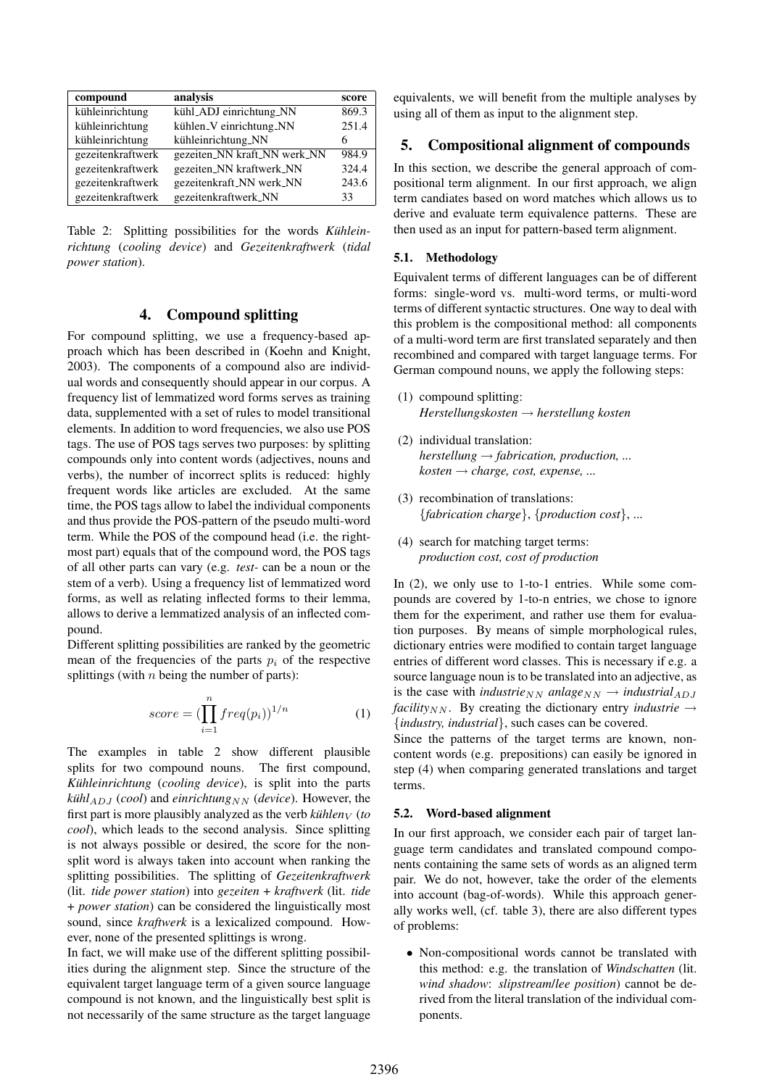| compound          | analysis                     | score |
|-------------------|------------------------------|-------|
| kühleinrichtung   | kühl_ADJ einrichtung_NN      | 869.3 |
| kühleinrichtung   | kühlen_V einrichtung_NN      | 251.4 |
| kühleinrichtung   | kühleinrichtung_NN           | 6     |
| gezeitenkraftwerk | gezeiten_NN kraft_NN werk_NN | 984.9 |
| gezeitenkraftwerk | gezeiten_NN kraftwerk_NN     | 324.4 |
| gezeitenkraftwerk | gezeitenkraft_NN werk_NN     | 243.6 |
| gezeitenkraftwerk | gezeitenkraftwerk_NN         | 33    |

Table 2: Splitting possibilities for the words *Kühleinrichtung* (*cooling device*) and *Gezeitenkraftwerk* (*tidal power station*).

### 4. Compound splitting

For compound splitting, we use a frequency-based approach which has been described in (Koehn and Knight, 2003). The components of a compound also are individual words and consequently should appear in our corpus. A frequency list of lemmatized word forms serves as training data, supplemented with a set of rules to model transitional elements. In addition to word frequencies, we also use POS tags. The use of POS tags serves two purposes: by splitting compounds only into content words (adjectives, nouns and verbs), the number of incorrect splits is reduced: highly frequent words like articles are excluded. At the same time, the POS tags allow to label the individual components and thus provide the POS-pattern of the pseudo multi-word term. While the POS of the compound head (i.e. the rightmost part) equals that of the compound word, the POS tags of all other parts can vary (e.g. *test-* can be a noun or the stem of a verb). Using a frequency list of lemmatized word forms, as well as relating inflected forms to their lemma, allows to derive a lemmatized analysis of an inflected compound.

Different splitting possibilities are ranked by the geometric mean of the frequencies of the parts  $p_i$  of the respective splittings (with  $n$  being the number of parts):

$$
score = (\prod_{i=1}^{n} freq(p_i))^{1/n}
$$
 (1)

The examples in table 2 show different plausible splits for two compound nouns. The first compound, *Kühleinrichtung* (*cooling device*), is split into the parts  $kiih$ <sup> $1_{ADJ}$ </sup> (*cool*) and *einrichtung*<sub>NN</sub> (*device*). However, the first part is more plausibly analyzed as the verb  $\textit{kii}$  *hen*  $\textit{v}$  (*to cool*), which leads to the second analysis. Since splitting is not always possible or desired, the score for the nonsplit word is always taken into account when ranking the splitting possibilities. The splitting of *Gezeitenkraftwerk* (lit. *tide power station*) into *gezeiten* + *kraftwerk* (lit. *tide* + *power station*) can be considered the linguistically most sound, since *kraftwerk* is a lexicalized compound. However, none of the presented splittings is wrong.

In fact, we will make use of the different splitting possibilities during the alignment step. Since the structure of the equivalent target language term of a given source language compound is not known, and the linguistically best split is not necessarily of the same structure as the target language equivalents, we will benefit from the multiple analyses by using all of them as input to the alignment step.

### 5. Compositional alignment of compounds

In this section, we describe the general approach of compositional term alignment. In our first approach, we align term candiates based on word matches which allows us to derive and evaluate term equivalence patterns. These are then used as an input for pattern-based term alignment.

#### 5.1. Methodology

Equivalent terms of different languages can be of different forms: single-word vs. multi-word terms, or multi-word terms of different syntactic structures. One way to deal with this problem is the compositional method: all components of a multi-word term are first translated separately and then recombined and compared with target language terms. For German compound nouns, we apply the following steps:

- (1) compound splitting: *Herstellungskosten* → *herstellung kosten*
- (2) individual translation:  $herstellung \rightarrow fabrication, production, \ldots$ *kosten* → *charge, cost, expense, ...*
- (3) recombination of translations: {*fabrication charge*}, {*production cost*}, ...
- (4) search for matching target terms: *production cost, cost of production*

In (2), we only use to 1-to-1 entries. While some compounds are covered by 1-to-n entries, we chose to ignore them for the experiment, and rather use them for evaluation purposes. By means of simple morphological rules, dictionary entries were modified to contain target language entries of different word classes. This is necessary if e.g. a source language noun is to be translated into an adjective, as is the case with *industrie*<sub>NN</sub> anlage<sub>NN</sub>  $\rightarrow$  *industrial*<sub>ADJ</sub> *facility*<sub>NN</sub>. By creating the dictionary entry *industrie*  $\rightarrow$ {*industry, industrial*}, such cases can be covered.

Since the patterns of the target terms are known, noncontent words (e.g. prepositions) can easily be ignored in step (4) when comparing generated translations and target terms.

#### 5.2. Word-based alignment

In our first approach, we consider each pair of target language term candidates and translated compound components containing the same sets of words as an aligned term pair. We do not, however, take the order of the elements into account (bag-of-words). While this approach generally works well, (cf. table 3), there are also different types of problems:

• Non-compositional words cannot be translated with this method: e.g. the translation of *Windschatten* (lit. *wind shadow*: *slipstream*/*lee position*) cannot be derived from the literal translation of the individual components.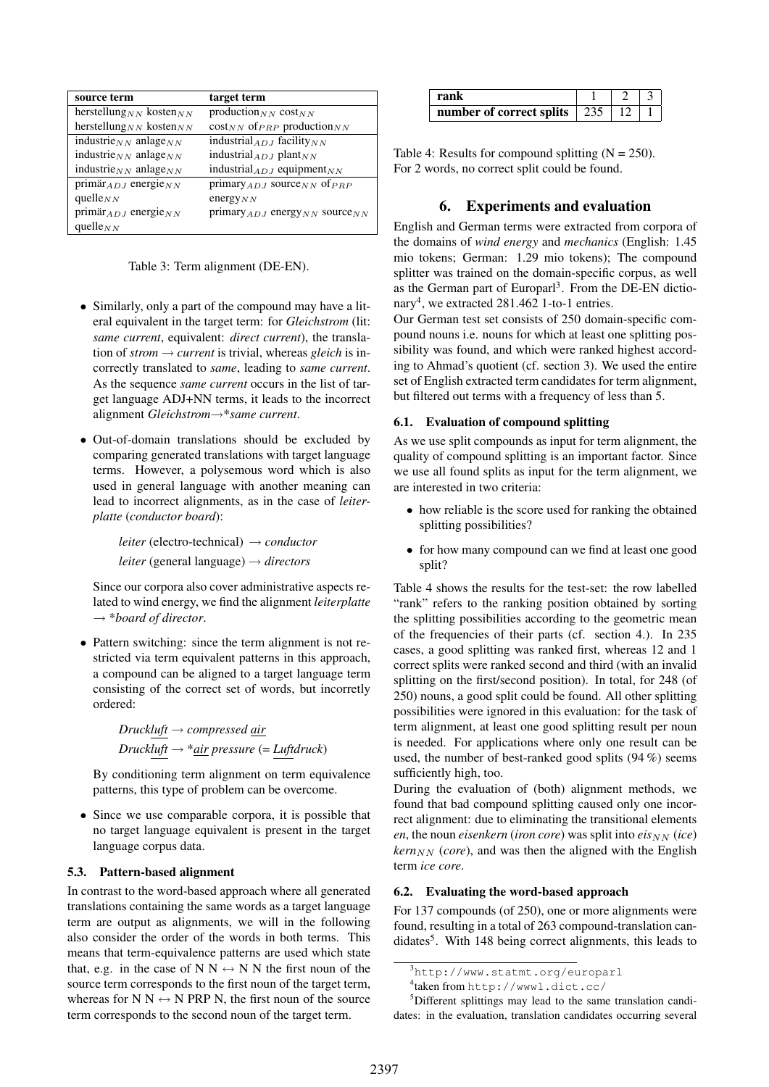| source term                                      | target term                                   |
|--------------------------------------------------|-----------------------------------------------|
| herstellung <sub>NN</sub> kosten <sub>NN</sub>   | production $_{NN}$ cost $_{NN}$               |
| herstellung <sub>NN</sub> kosten <sub>NN</sub>   | $\cos t_{NN}$ of $_{PRP}$ production $_{NN}$  |
| industrie $_{NN}$ anlage $_{NN}$                 | industrial $_{ADJ}$ facility $_{NN}$          |
| industrie <sub>NN</sub> anlage <sub>NN</sub>     | industrial $_{ADJ}$ plant $_{NN}$             |
| industrie $_{NN}$ anlage $_{NN}$                 | industrial $_{ADJ}$ equipment <sub>NN</sub>   |
| $\overline{\text{primar}}_{ADJ}$ energie $_{NN}$ | primary $_{ADJ}$ source $_{NN}$ of $_{PRP}$   |
| quelle $_{NN}$                                   | energy $_{NN}$                                |
| primär $_{ADJ}$ energie $_{NN}$                  | $primary_{ADJ}$ energy $_{NN}$ source $_{NN}$ |
| quelle $_{NN}$                                   |                                               |

Table 3: Term alignment (DE-EN).

- Similarly, only a part of the compound may have a literal equivalent in the target term: for *Gleichstrom* (lit: *same current*, equivalent: *direct current*), the translation of  $strom \rightarrow current$  is trivial, whereas *gleich* is incorrectly translated to *same*, leading to *same current*. As the sequence *same current* occurs in the list of target language ADJ+NN terms, it leads to the incorrect alignment *Gleichstrom*→\**same current*.
- Out-of-domain translations should be excluded by comparing generated translations with target language terms. However, a polysemous word which is also used in general language with another meaning can lead to incorrect alignments, as in the case of *leiterplatte* (*conductor board*):

*leiter* (electro-technical) → *conductor*

*leiter* (general language) → *directors*

Since our corpora also cover administrative aspects related to wind energy, we find the alignment *leiterplatte* → \**board of director*.

• Pattern switching: since the term alignment is not restricted via term equivalent patterns in this approach, a compound can be aligned to a target language term consisting of the correct set of words, but incorretly ordered:

> *Druckluft* → *compressed air Druckluft*  $\rightarrow$  \**air pressure* (= *Luftdruck*)

By conditioning term alignment on term equivalence patterns, this type of problem can be overcome.

• Since we use comparable corpora, it is possible that no target language equivalent is present in the target language corpus data.

### 5.3. Pattern-based alignment

In contrast to the word-based approach where all generated translations containing the same words as a target language term are output as alignments, we will in the following also consider the order of the words in both terms. This means that term-equivalence patterns are used which state that, e.g. in the case of N N  $\leftrightarrow$  N N the first noun of the source term corresponds to the first noun of the target term, whereas for N N  $\leftrightarrow$  N PRP N, the first noun of the source term corresponds to the second noun of the target term.

| rank                         |  |  |
|------------------------------|--|--|
| number of correct splits 235 |  |  |

Table 4: Results for compound splitting  $(N = 250)$ . For 2 words, no correct split could be found.

### 6. Experiments and evaluation

English and German terms were extracted from corpora of the domains of *wind energy* and *mechanics* (English: 1.45 mio tokens; German: 1.29 mio tokens); The compound splitter was trained on the domain-specific corpus, as well as the German part of Europarl<sup>3</sup>. From the DE-EN dictionary<sup>4</sup>, we extracted 281.462 1-to-1 entries.

Our German test set consists of 250 domain-specific compound nouns i.e. nouns for which at least one splitting possibility was found, and which were ranked highest according to Ahmad's quotient (cf. section 3). We used the entire set of English extracted term candidates for term alignment, but filtered out terms with a frequency of less than 5.

### 6.1. Evaluation of compound splitting

As we use split compounds as input for term alignment, the quality of compound splitting is an important factor. Since we use all found splits as input for the term alignment, we are interested in two criteria:

- how reliable is the score used for ranking the obtained splitting possibilities?
- for how many compound can we find at least one good split?

Table 4 shows the results for the test-set: the row labelled "rank" refers to the ranking position obtained by sorting the splitting possibilities according to the geometric mean of the frequencies of their parts (cf. section 4.). In 235 cases, a good splitting was ranked first, whereas 12 and 1 correct splits were ranked second and third (with an invalid splitting on the first/second position). In total, for 248 (of 250) nouns, a good split could be found. All other splitting possibilities were ignored in this evaluation: for the task of term alignment, at least one good splitting result per noun is needed. For applications where only one result can be used, the number of best-ranked good splits (94 %) seems sufficiently high, too.

During the evaluation of (both) alignment methods, we found that bad compound splitting caused only one incorrect alignment: due to eliminating the transitional elements  $en$ , the noun *eisenkern* (*iron core*) was split into  $eis_{NN}$  (*ice*)  $\textit{kern}_{NN}$  (*core*), and was then the aligned with the English term *ice core*.

#### 6.2. Evaluating the word-based approach

For 137 compounds (of 250), one or more alignments were found, resulting in a total of 263 compound-translation candidates<sup>5</sup>. With 148 being correct alignments, this leads to

<sup>3</sup>http://www.statmt.org/europarl

<sup>4</sup> taken from http://www1.dict.cc/

<sup>5</sup>Different splittings may lead to the same translation candidates: in the evaluation, translation candidates occurring several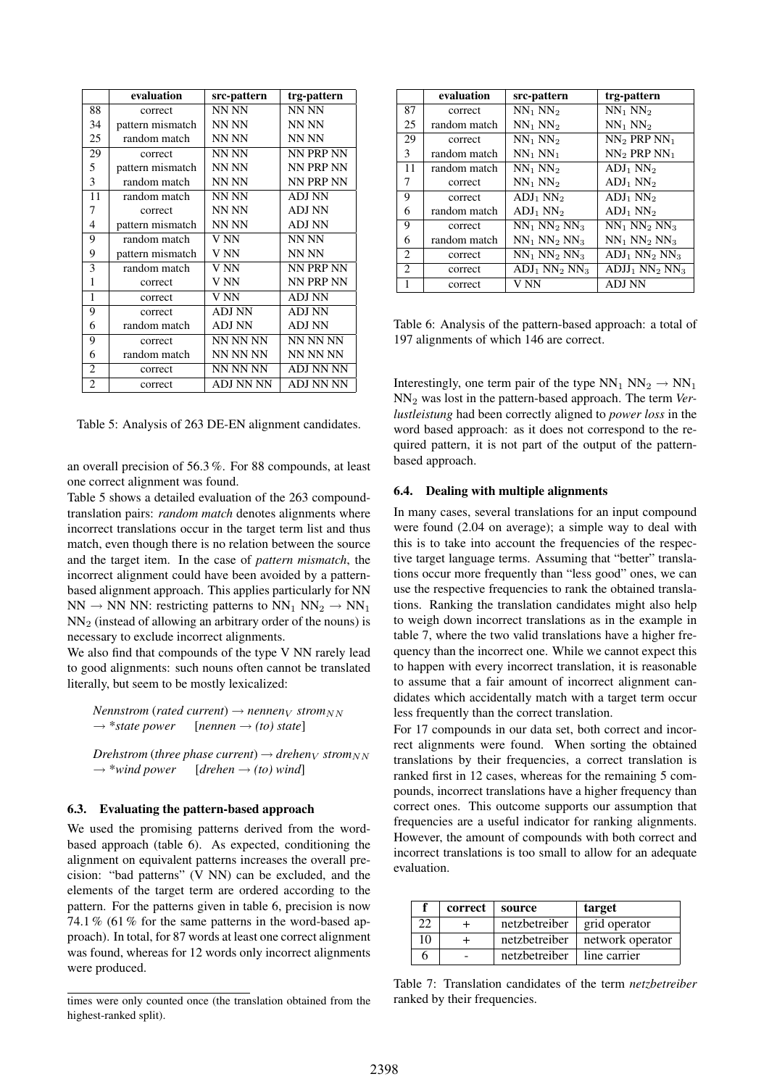|                | evaluation       | src-pattern      | trg-pattern   |
|----------------|------------------|------------------|---------------|
| 88             | correct          | NN NN            | NN NN         |
| 34             | pattern mismatch | NN NN            | NN NN         |
| 25             | random match     | NN NN            | NN NN         |
| 29             | correct          | NN NN            | NN PRP NN     |
| 5              | pattern mismatch | NN NN            | NN PRP NN     |
| 3              | random match     | NN NN            | NN PRP NN     |
| 11             | random match     | NN NN            | <b>ADJ NN</b> |
| 7              | correct          | NN NN            | <b>ADJ NN</b> |
| 4              | pattern mismatch | NN NN            | ADJ NN        |
| 9              | random match     | V NN             | NN NN         |
| 9              | pattern mismatch | V NN             | NN NN         |
| 3              | random match     | V NN             | NN PRP NN     |
| 1              | correct          | V NN             | NN PRP NN     |
| 1              | correct          | V NN             | <b>ADJ NN</b> |
| 9              | correct          | <b>ADJ NN</b>    | ADJ NN        |
| 6              | random match     | ADJ NN           | ADJ NN        |
| 9              | correct          | NN NN NN         | NN NN NN      |
| 6              | random match     | NN NN NN         | NN NN NN      |
| $\overline{2}$ | correct          | NN NN NN         | ADJ NN NN     |
| $\overline{c}$ | correct          | <b>ADJ NN NN</b> | ADJ NN NN     |

Table 5: Analysis of 263 DE-EN alignment candidates.

an overall precision of 56.3 %. For 88 compounds, at least one correct alignment was found.

Table 5 shows a detailed evaluation of the 263 compoundtranslation pairs: *random match* denotes alignments where incorrect translations occur in the target term list and thus match, even though there is no relation between the source and the target item. In the case of *pattern mismatch*, the incorrect alignment could have been avoided by a patternbased alignment approach. This applies particularly for NN  $NN \rightarrow NN$  NN: restricting patterns to  $NN_1 NN_2 \rightarrow NN_1$  $NN<sub>2</sub>$  (instead of allowing an arbitrary order of the nouns) is necessary to exclude incorrect alignments.

We also find that compounds of the type V NN rarely lead to good alignments: such nouns often cannot be translated literally, but seem to be mostly lexicalized:

*Nennstrom* (*rated current*)  $\rightarrow$  *nennen*<sub>V</sub> *strom*<sub>NN</sub>  $\rightarrow$  *\*state power* [*nennen*  $\rightarrow$  *(to) state*]

*Drehstrom* (*three phase current*)  $\rightarrow$  *drehen*<sub>*V*</sub> *strom*<sub>*NN*</sub>  $\rightarrow$  \*wind power [*drehen*  $\rightarrow$  *(to) wind*]  $[drehen \rightarrow (to) wind]$ 

#### 6.3. Evaluating the pattern-based approach

We used the promising patterns derived from the wordbased approach (table 6). As expected, conditioning the alignment on equivalent patterns increases the overall precision: "bad patterns" (V NN) can be excluded, and the elements of the target term are ordered according to the pattern. For the patterns given in table 6, precision is now 74.1 % (61 % for the same patterns in the word-based approach). In total, for 87 words at least one correct alignment was found, whereas for 12 words only incorrect alignments were produced.

|                             | evaluation   | src-pattern       | trg-pattern        |
|-----------------------------|--------------|-------------------|--------------------|
| 87                          | correct      | $NN_1 NN_2$       | $NN_1 NN_2$        |
| 25                          | random match | $NN_1 NN_2$       | $NN_1 NN_2$        |
| 29                          | correct      | $NN_1 NN_2$       | $NN_2$ PRP $NN_1$  |
| 3                           | random match | $NN_1 NN_1$       | $NN_2$ PRP $NN_1$  |
| 11                          | random match | $NN_1 NN_2$       | $ADJ_1 NN_2$       |
| 7                           | correct      | $NN_1 NN_2$       | $ADJ_1 NN_2$       |
| 9                           | correct      | $ADJ_1 NN_2$      | $ADJ_1 NN_2$       |
| 6                           | random match | $ADJ_1 NN_2$      | $ADJ_1 NN_2$       |
| 9                           | correct      | $NN_1 NN_2 NN_3$  | $NN_1 NN_2 NN_3$   |
| 6                           | random match | $NN_1 NN_2 NN_3$  | $NN_1 NN_2 NN_3$   |
| 2                           | correct      | $NN_1 NN_2 NN_3$  | $ADJ_1 NN_2 NN_3$  |
| $\mathcal{D}_{\mathcal{L}}$ | correct      | $ADJ_1 NN_2 NN_3$ | $ADJJ_1 NN_2 NN_3$ |
| 1                           | correct      | V NN              | <b>ADJ NN</b>      |

Table 6: Analysis of the pattern-based approach: a total of 197 alignments of which 146 are correct.

Interestingly, one term pair of the type  $NN_1 NN_2 \rightarrow NN_1$ NN<sup>2</sup> was lost in the pattern-based approach. The term *Verlustleistung* had been correctly aligned to *power loss* in the word based approach: as it does not correspond to the required pattern, it is not part of the output of the patternbased approach.

#### 6.4. Dealing with multiple alignments

In many cases, several translations for an input compound were found (2.04 on average); a simple way to deal with this is to take into account the frequencies of the respective target language terms. Assuming that "better" translations occur more frequently than "less good" ones, we can use the respective frequencies to rank the obtained translations. Ranking the translation candidates might also help to weigh down incorrect translations as in the example in table 7, where the two valid translations have a higher frequency than the incorrect one. While we cannot expect this to happen with every incorrect translation, it is reasonable to assume that a fair amount of incorrect alignment candidates which accidentally match with a target term occur less frequently than the correct translation.

For 17 compounds in our data set, both correct and incorrect alignments were found. When sorting the obtained translations by their frequencies, a correct translation is ranked first in 12 cases, whereas for the remaining 5 compounds, incorrect translations have a higher frequency than correct ones. This outcome supports our assumption that frequencies are a useful indicator for ranking alignments. However, the amount of compounds with both correct and incorrect translations is too small to allow for an adequate evaluation.

|    | correct | source        | target           |
|----|---------|---------------|------------------|
|    |         | netzbetreiber | grid operator    |
| 10 |         | netzbetreiber | network operator |
|    |         | netzbetreiber | line carrier     |

Table 7: Translation candidates of the term *netzbetreiber* ranked by their frequencies.

times were only counted once (the translation obtained from the highest-ranked split).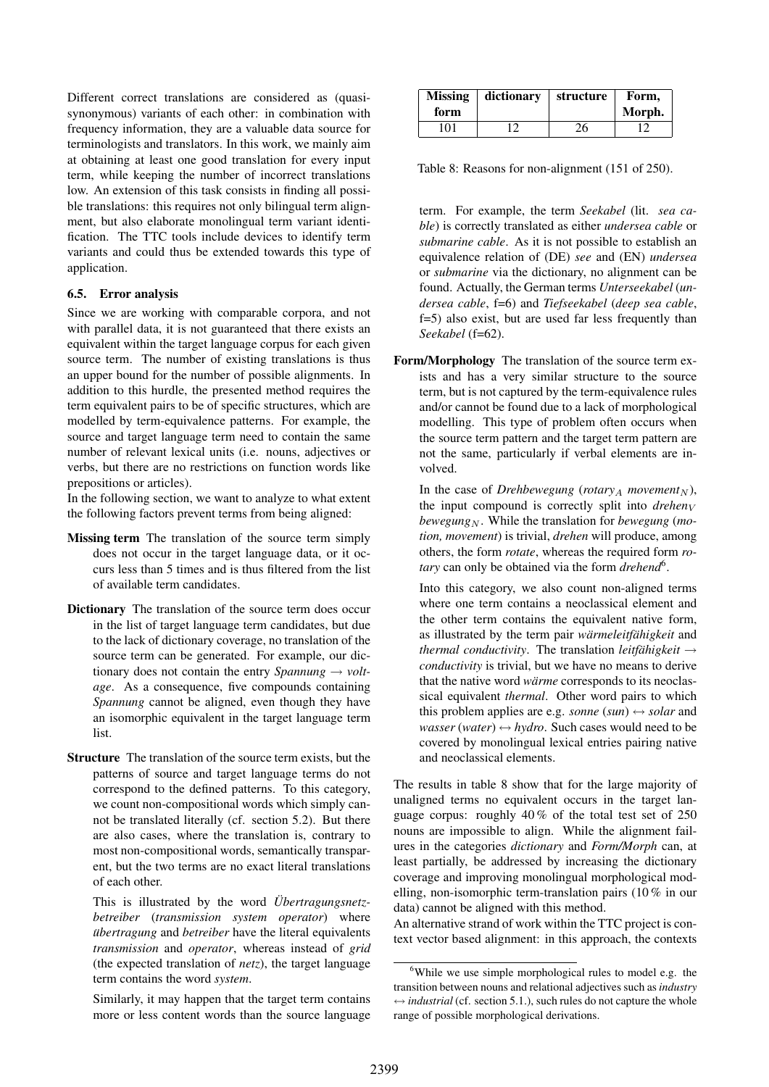Different correct translations are considered as (quasisynonymous) variants of each other: in combination with frequency information, they are a valuable data source for terminologists and translators. In this work, we mainly aim at obtaining at least one good translation for every input term, while keeping the number of incorrect translations low. An extension of this task consists in finding all possible translations: this requires not only bilingual term alignment, but also elaborate monolingual term variant identification. The TTC tools include devices to identify term variants and could thus be extended towards this type of application.

#### 6.5. Error analysis

Since we are working with comparable corpora, and not with parallel data, it is not guaranteed that there exists an equivalent within the target language corpus for each given source term. The number of existing translations is thus an upper bound for the number of possible alignments. In addition to this hurdle, the presented method requires the term equivalent pairs to be of specific structures, which are modelled by term-equivalence patterns. For example, the source and target language term need to contain the same number of relevant lexical units (i.e. nouns, adjectives or verbs, but there are no restrictions on function words like prepositions or articles).

In the following section, we want to analyze to what extent the following factors prevent terms from being aligned:

- Missing term The translation of the source term simply does not occur in the target language data, or it occurs less than 5 times and is thus filtered from the list of available term candidates.
- Dictionary The translation of the source term does occur in the list of target language term candidates, but due to the lack of dictionary coverage, no translation of the source term can be generated. For example, our dictionary does not contain the entry *Spannung*  $\rightarrow$  *voltage*. As a consequence, five compounds containing *Spannung* cannot be aligned, even though they have an isomorphic equivalent in the target language term list.
- Structure The translation of the source term exists, but the patterns of source and target language terms do not correspond to the defined patterns. To this category, we count non-compositional words which simply cannot be translated literally (cf. section 5.2). But there are also cases, where the translation is, contrary to most non-compositional words, semantically transparent, but the two terms are no exact literal translations of each other.

This is illustrated by the word *Übertragungsnetzbetreiber* (*transmission system operator*) where *übertragung* and *betreiber* have the literal equivalents *transmission* and *operator*, whereas instead of *grid* (the expected translation of *netz*), the target language term contains the word *system*.

Similarly, it may happen that the target term contains more or less content words than the source language

| <b>Missing</b><br>form | dictionary | structure | Form,<br>Morph. |
|------------------------|------------|-----------|-----------------|
| 101                    | 1 ງ        | 26        |                 |

Table 8: Reasons for non-alignment (151 of 250).

term. For example, the term *Seekabel* (lit. *sea cable*) is correctly translated as either *undersea cable* or *submarine cable*. As it is not possible to establish an equivalence relation of (DE) *see* and (EN) *undersea* or *submarine* via the dictionary, no alignment can be found. Actually, the German terms *Unterseekabel* (*undersea cable*, f=6) and *Tiefseekabel* (*deep sea cable*, f=5) also exist, but are used far less frequently than *Seekabel* (f=62).

Form/Morphology The translation of the source term exists and has a very similar structure to the source term, but is not captured by the term-equivalence rules and/or cannot be found due to a lack of morphological modelling. This type of problem often occurs when the source term pattern and the target term pattern are not the same, particularly if verbal elements are involved.

In the case of *Drehbewegung* (*rotary<sub>A</sub> movement<sub>N</sub>*), the input compound is correctly split into  $d$ rehen $_V$ *bewegung*<sub>N</sub>. While the translation for *bewegung* (*motion, movement*) is trivial, *drehen* will produce, among others, the form *rotate*, whereas the required form *rotary* can only be obtained via the form *drehend*<sup>6</sup> .

Into this category, we also count non-aligned terms where one term contains a neoclassical element and the other term contains the equivalent native form, as illustrated by the term pair *wärmeleitfähigkeit* and *thermal conductivity.* The translation *leitfähigkeit*  $\rightarrow$ *conductivity* is trivial, but we have no means to derive that the native word *wärme* corresponds to its neoclassical equivalent *thermal*. Other word pairs to which this problem applies are e.g. *sonne*  $(sun) \leftrightarrow solar$  and *wasser* (*water*)  $\leftrightarrow$  *hydro*. Such cases would need to be covered by monolingual lexical entries pairing native and neoclassical elements.

The results in table 8 show that for the large majority of unaligned terms no equivalent occurs in the target language corpus: roughly 40 % of the total test set of 250 nouns are impossible to align. While the alignment failures in the categories *dictionary* and *Form/Morph* can, at least partially, be addressed by increasing the dictionary coverage and improving monolingual morphological modelling, non-isomorphic term-translation pairs (10 % in our data) cannot be aligned with this method.

An alternative strand of work within the TTC project is context vector based alignment: in this approach, the contexts

<sup>&</sup>lt;sup>6</sup>While we use simple morphological rules to model e.g. the transition between nouns and relational adjectives such as *industry*  $\leftrightarrow$  *industrial* (cf. section 5.1.), such rules do not capture the whole range of possible morphological derivations.